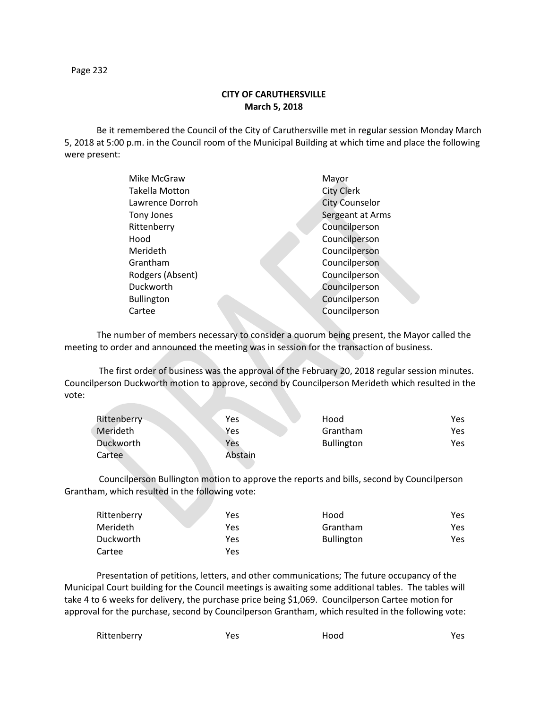Page 232

## **CITY OF CARUTHERSVILLE March 5, 2018**

Be it remembered the Council of the City of Caruthersville met in regular session Monday March 5, 2018 at 5:00 p.m. in the Council room of the Municipal Building at which time and place the following were present:

| Mike McGraw           | Mayor                 |
|-----------------------|-----------------------|
| <b>Takella Motton</b> | <b>City Clerk</b>     |
| Lawrence Dorroh       | <b>City Counselor</b> |
| Tony Jones            | Sergeant at Arms      |
| Rittenberry           | Councilperson         |
| Hood                  | Councilperson         |
| Merideth              | Councilperson         |
| Grantham              | Councilperson         |
| Rodgers (Absent)      | Councilperson         |
| Duckworth             | Councilperson         |
| <b>Bullington</b>     | Councilperson         |
| Cartee                | Councilperson         |
|                       |                       |

The number of members necessary to consider a quorum being present, the Mayor called the meeting to order and announced the meeting was in session for the transaction of business.

The first order of business was the approval of the February 20, 2018 regular session minutes. Councilperson Duckworth motion to approve, second by Councilperson Merideth which resulted in the vote:

| Rittenberry | <b>Yes</b> | Hood              | Yes. |
|-------------|------------|-------------------|------|
| Merideth    | Yes        | Grantham          | Yes  |
| Duckworth   | Yes        | <b>Bullington</b> | Yes  |
| Cartee      | Abstain    |                   |      |

Councilperson Bullington motion to approve the reports and bills, second by Councilperson Grantham, which resulted in the following vote:

| Rittenberry | Yes | Hood              | Yes |
|-------------|-----|-------------------|-----|
| Merideth    | Yes | Grantham          | Yes |
| Duckworth   | Yes | <b>Bullington</b> | Yes |
| Cartee      | Yes |                   |     |

Presentation of petitions, letters, and other communications; The future occupancy of the Municipal Court building for the Council meetings is awaiting some additional tables. The tables will take 4 to 6 weeks for delivery, the purchase price being \$1,069. Councilperson Cartee motion for approval for the purchase, second by Councilperson Grantham, which resulted in the following vote:

| Rittenberry | Yes | Hood | Yes |
|-------------|-----|------|-----|
|-------------|-----|------|-----|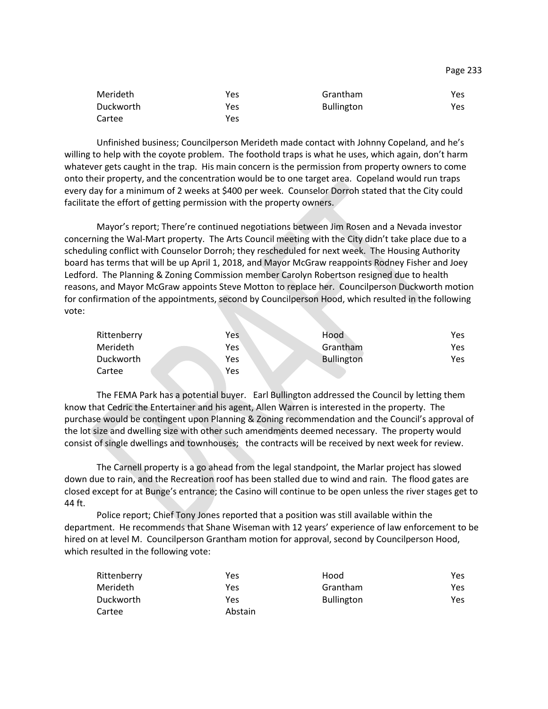| Merideth  | Yes | Grantham          | Yes |
|-----------|-----|-------------------|-----|
| Duckworth | Yes | <b>Bullington</b> | Yes |
| Cartee    | Yes |                   |     |

Unfinished business; Councilperson Merideth made contact with Johnny Copeland, and he's willing to help with the coyote problem. The foothold traps is what he uses, which again, don't harm whatever gets caught in the trap. His main concern is the permission from property owners to come onto their property, and the concentration would be to one target area. Copeland would run traps every day for a minimum of 2 weeks at \$400 per week. Counselor Dorroh stated that the City could facilitate the effort of getting permission with the property owners.

Mayor's report; There're continued negotiations between Jim Rosen and a Nevada investor concerning the Wal-Mart property. The Arts Council meeting with the City didn't take place due to a scheduling conflict with Counselor Dorroh; they rescheduled for next week. The Housing Authority board has terms that will be up April 1, 2018, and Mayor McGraw reappoints Rodney Fisher and Joey Ledford. The Planning & Zoning Commission member Carolyn Robertson resigned due to health reasons, and Mayor McGraw appoints Steve Motton to replace her. Councilperson Duckworth motion for confirmation of the appointments, second by Councilperson Hood, which resulted in the following vote:

| Rittenberry | Yes | Hood              | Yes |
|-------------|-----|-------------------|-----|
| Merideth    | Yes | Grantham          | Yes |
| Duckworth   | Yes | <b>Bullington</b> | Yes |
| Cartee      | Yes |                   |     |

The FEMA Park has a potential buyer. Earl Bullington addressed the Council by letting them know that Cedric the Entertainer and his agent, Allen Warren is interested in the property. The purchase would be contingent upon Planning & Zoning recommendation and the Council's approval of the lot size and dwelling size with other such amendments deemed necessary. The property would consist of single dwellings and townhouses; the contracts will be received by next week for review.

The Carnell property is a go ahead from the legal standpoint, the Marlar project has slowed down due to rain, and the Recreation roof has been stalled due to wind and rain. The flood gates are closed except for at Bunge's entrance; the Casino will continue to be open unless the river stages get to 44 ft.

Police report; Chief Tony Jones reported that a position was still available within the department. He recommends that Shane Wiseman with 12 years' experience of law enforcement to be hired on at level M. Councilperson Grantham motion for approval, second by Councilperson Hood, which resulted in the following vote:

| Rittenberry | Yes     | Hood              | Yes  |
|-------------|---------|-------------------|------|
| Merideth    | Yes     | Grantham          | Yes. |
| Duckworth   | Yes     | <b>Bullington</b> | Yes  |
| Cartee      | Abstain |                   |      |

Page 233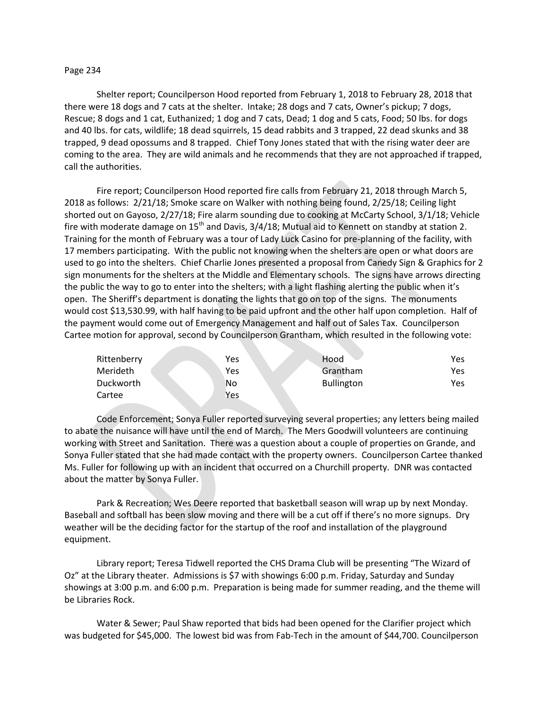## Page 234

Shelter report; Councilperson Hood reported from February 1, 2018 to February 28, 2018 that there were 18 dogs and 7 cats at the shelter. Intake; 28 dogs and 7 cats, Owner's pickup; 7 dogs, Rescue; 8 dogs and 1 cat, Euthanized; 1 dog and 7 cats, Dead; 1 dog and 5 cats, Food; 50 lbs. for dogs and 40 lbs. for cats, wildlife; 18 dead squirrels, 15 dead rabbits and 3 trapped, 22 dead skunks and 38 trapped, 9 dead opossums and 8 trapped. Chief Tony Jones stated that with the rising water deer are coming to the area. They are wild animals and he recommends that they are not approached if trapped, call the authorities.

Fire report; Councilperson Hood reported fire calls from February 21, 2018 through March 5, 2018 as follows: 2/21/18; Smoke scare on Walker with nothing being found, 2/25/18; Ceiling light shorted out on Gayoso, 2/27/18; Fire alarm sounding due to cooking at McCarty School, 3/1/18; Vehicle fire with moderate damage on  $15<sup>th</sup>$  and Davis,  $3/4/18$ ; Mutual aid to Kennett on standby at station 2. Training for the month of February was a tour of Lady Luck Casino for pre-planning of the facility, with 17 members participating. With the public not knowing when the shelters are open or what doors are used to go into the shelters. Chief Charlie Jones presented a proposal from Canedy Sign & Graphics for 2 sign monuments for the shelters at the Middle and Elementary schools. The signs have arrows directing the public the way to go to enter into the shelters; with a light flashing alerting the public when it's open. The Sheriff's department is donating the lights that go on top of the signs. The monuments would cost \$13,530.99, with half having to be paid upfront and the other half upon completion. Half of the payment would come out of Emergency Management and half out of Sales Tax. Councilperson Cartee motion for approval, second by Councilperson Grantham, which resulted in the following vote:

| Rittenberry | Yes | Hood              | Yes |
|-------------|-----|-------------------|-----|
| Merideth    | Yes | Grantham          | Yes |
| Duckworth   | No  | <b>Bullington</b> | Yes |
| Cartee      | Yes |                   |     |

Code Enforcement; Sonya Fuller reported surveying several properties; any letters being mailed to abate the nuisance will have until the end of March. The Mers Goodwill volunteers are continuing working with Street and Sanitation. There was a question about a couple of properties on Grande, and Sonya Fuller stated that she had made contact with the property owners. Councilperson Cartee thanked Ms. Fuller for following up with an incident that occurred on a Churchill property. DNR was contacted about the matter by Sonya Fuller.

Park & Recreation; Wes Deere reported that basketball season will wrap up by next Monday. Baseball and softball has been slow moving and there will be a cut off if there's no more signups. Dry weather will be the deciding factor for the startup of the roof and installation of the playground equipment.

Library report; Teresa Tidwell reported the CHS Drama Club will be presenting "The Wizard of Oz" at the Library theater. Admissions is \$7 with showings 6:00 p.m. Friday, Saturday and Sunday showings at 3:00 p.m. and 6:00 p.m. Preparation is being made for summer reading, and the theme will be Libraries Rock.

Water & Sewer; Paul Shaw reported that bids had been opened for the Clarifier project which was budgeted for \$45,000. The lowest bid was from Fab-Tech in the amount of \$44,700. Councilperson